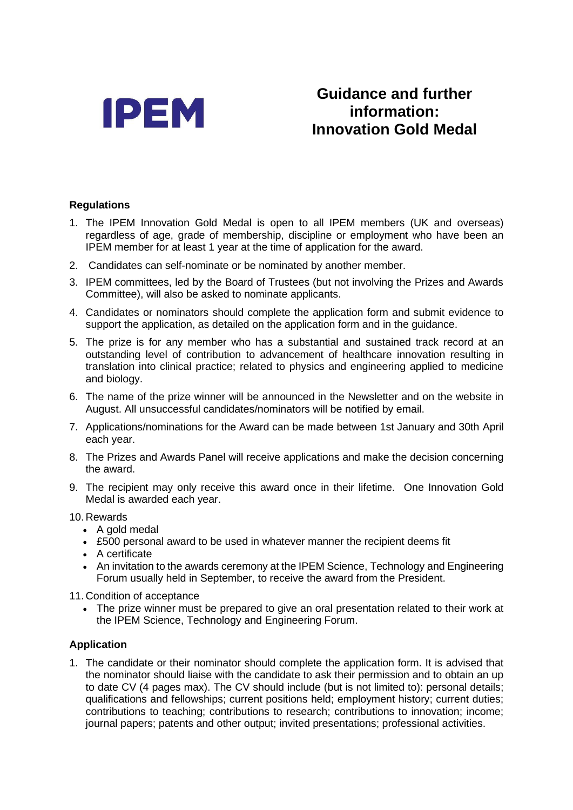

# **Guidance and further information: Innovation Gold Medal**

## **Regulations**

- 1. The IPEM Innovation Gold Medal is open to all IPEM members (UK and overseas) regardless of age, grade of membership, discipline or employment who have been an IPEM member for at least 1 year at the time of application for the award.
- 2. Candidates can self-nominate or be nominated by another member.
- 3. IPEM committees, led by the Board of Trustees (but not involving the Prizes and Awards Committee), will also be asked to nominate applicants.
- 4. Candidates or nominators should complete the application form and submit evidence to support the application, as detailed on the application form and in the guidance.
- 5. The prize is for any member who has a substantial and sustained track record at an outstanding level of contribution to advancement of healthcare innovation resulting in translation into clinical practice; related to physics and engineering applied to medicine and biology.
- 6. The name of the prize winner will be announced in the Newsletter and on the website in August. All unsuccessful candidates/nominators will be notified by email.
- 7. Applications/nominations for the Award can be made between 1st January and 30th April each year.
- 8. The Prizes and Awards Panel will receive applications and make the decision concerning the award.
- 9. The recipient may only receive this award once in their lifetime. One Innovation Gold Medal is awarded each year.

#### 10. Rewards

- A gold medal
- £500 personal award to be used in whatever manner the recipient deems fit
- A certificate
- An invitation to the awards ceremony at the IPEM Science, Technology and Engineering Forum usually held in September, to receive the award from the President.

11. Condition of acceptance

• The prize winner must be prepared to give an oral presentation related to their work at the IPEM Science, Technology and Engineering Forum.

## **Application**

1. The candidate or their nominator should complete the application form. It is advised that the nominator should liaise with the candidate to ask their permission and to obtain an up to date CV (4 pages max). The CV should include (but is not limited to): personal details; qualifications and fellowships; current positions held; employment history; current duties; contributions to teaching; contributions to research; contributions to innovation; income; journal papers; patents and other output; invited presentations; professional activities.